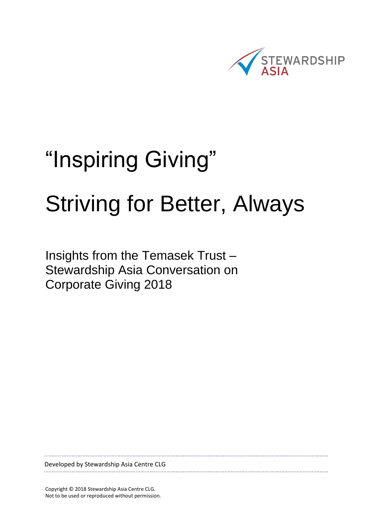

# "Inspiring Giving" Striving for Better, Always

Insights from the Temasek Trust – Stewardship Asia Conversation on Corporate Giving 2018

Developed by Stewardship Asia Centre CLG

Copyright © 2018 Stewardship Asia Centre CLG. Not to be used or reproduced without permission.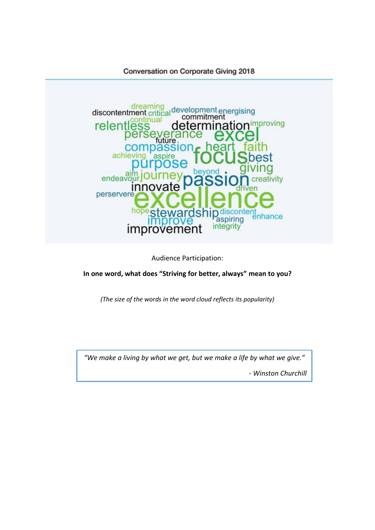

Audience Participation:

**In one word, what does "Striving for better, always" mean to you?**

*(The size of the words in the word cloud reflects its popularity)*

*"We make a living by what we get, but we make a life by what we give."*

*- Winston Churchill*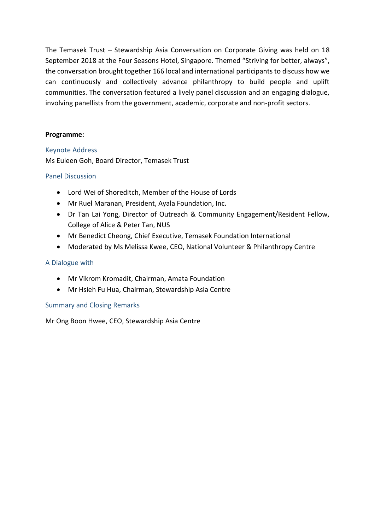The Temasek Trust – Stewardship Asia Conversation on Corporate Giving was held on 18 September 2018 at the Four Seasons Hotel, Singapore. Themed "Striving for better, always", the conversation brought together 166 local and international participants to discuss how we can continuously and collectively advance philanthropy to build people and uplift communities. The conversation featured a lively panel discussion and an engaging dialogue, involving panellists from the government, academic, corporate and non-profit sectors.

#### **Programme:**

#### Keynote Address

Ms Euleen Goh, Board Director, Temasek Trust

#### Panel Discussion

- Lord Wei of Shoreditch, Member of the House of Lords
- Mr Ruel Maranan, President, Ayala Foundation, Inc.
- Dr Tan Lai Yong, Director of Outreach & Community Engagement/Resident Fellow, College of Alice & Peter Tan, NUS
- Mr Benedict Cheong, Chief Executive, Temasek Foundation International
- Moderated by Ms Melissa Kwee, CEO, National Volunteer & Philanthropy Centre

#### A Dialogue with

- Mr Vikrom Kromadit, Chairman, Amata Foundation
- Mr Hsieh Fu Hua, Chairman, Stewardship Asia Centre

#### Summary and Closing Remarks

Mr Ong Boon Hwee, CEO, Stewardship Asia Centre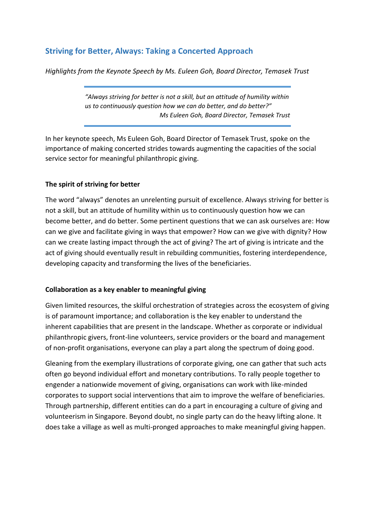# **Striving for Better, Always: Taking a Concerted Approach**

*Highlights from the Keynote Speech by Ms. Euleen Goh, Board Director, Temasek Trust*

*"Always striving for better is not a skill, but an attitude of humility within us to continuously question how we can do better, and do better?" Ms Euleen Goh, Board Director, Temasek Trust*

In her keynote speech, Ms Euleen Goh, Board Director of Temasek Trust, spoke on the importance of making concerted strides towards augmenting the capacities of the social service sector for meaningful philanthropic giving.

#### **The spirit of striving for better**

The word "always" denotes an unrelenting pursuit of excellence. Always striving for better is not a skill, but an attitude of humility within us to continuously question how we can become better, and do better. Some pertinent questions that we can ask ourselves are: How can we give and facilitate giving in ways that empower? How can we give with dignity? How can we create lasting impact through the act of giving? The art of giving is intricate and the act of giving should eventually result in rebuilding communities, fostering interdependence, developing capacity and transforming the lives of the beneficiaries.

#### **Collaboration as a key enabler to meaningful giving**

Given limited resources, the skilful orchestration of strategies across the ecosystem of giving is of paramount importance; and collaboration is the key enabler to understand the inherent capabilities that are present in the landscape. Whether as corporate or individual philanthropic givers, front-line volunteers, service providers or the board and management of non-profit organisations, everyone can play a part along the spectrum of doing good.

Gleaning from the exemplary illustrations of corporate giving, one can gather that such acts often go beyond individual effort and monetary contributions. To rally people together to engender a nationwide movement of giving, organisations can work with like-minded corporates to support social interventions that aim to improve the welfare of beneficiaries. Through partnership, different entities can do a part in encouraging a culture of giving and volunteerism in Singapore. Beyond doubt, no single party can do the heavy lifting alone. It does take a village as well as multi-pronged approaches to make meaningful giving happen.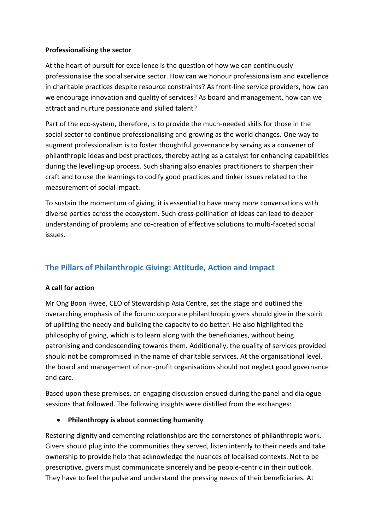#### **Professionalising the sector**

At the heart of pursuit for excellence is the question of how we can continuously professionalise the social service sector. How can we honour professionalism and excellence in charitable practices despite resource constraints? As front-line service providers, how can we encourage innovation and quality of services? As board and management, how can we attract and nurture passionate and skilled talent?

Part of the eco-system, therefore, is to provide the much-needed skills for those in the social sector to continue professionalising and growing as the world changes. One way to augment professionalism is to foster thoughtful governance by serving as a convener of philanthropic ideas and best practices, thereby acting as a catalyst for enhancing capabilities during the levelling-up process. Such sharing also enables practitioners to sharpen their craft and to use the learnings to codify good practices and tinker issues related to the measurement of social impact.

To sustain the momentum of giving, it is essential to have many more conversations with diverse parties across the ecosystem. Such cross-pollination of ideas can lead to deeper understanding of problems and co-creation of effective solutions to multi-faceted social issues.

# **The Pillars of Philanthropic Giving: Attitude, Action and Impact**

#### **A call for action**

Mr Ong Boon Hwee, CEO of Stewardship Asia Centre, set the stage and outlined the overarching emphasis of the forum: corporate philanthropic givers should give in the spirit of uplifting the needy and building the capacity to do better. He also highlighted the philosophy of giving, which is to learn along with the beneficiaries, without being patronising and condescending towards them. Additionally, the quality of services provided should not be compromised in the name of charitable services. At the organisational level, the board and management of non-profit organisations should not neglect good governance and care.

Based upon these premises, an engaging discussion ensued during the panel and dialogue sessions that followed. The following insights were distilled from the exchanges:

#### **Philanthropy is about connecting humanity**

Restoring dignity and cementing relationships are the cornerstones of philanthropic work. Givers should plug into the communities they served, listen intently to their needs and take ownership to provide help that acknowledge the nuances of localised contexts. Not to be prescriptive, givers must communicate sincerely and be people-centric in their outlook. They have to feel the pulse and understand the pressing needs of their beneficiaries. At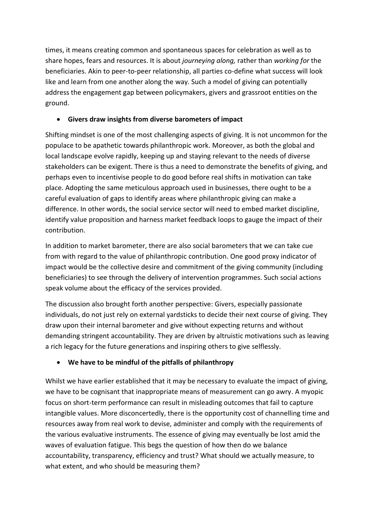times, it means creating common and spontaneous spaces for celebration as well as to share hopes, fears and resources. It is about *journeying along,* rather than *working for* the beneficiaries. Akin to peer-to-peer relationship, all parties co-define what success will look like and learn from one another along the way. Such a model of giving can potentially address the engagement gap between policymakers, givers and grassroot entities on the ground.

## **Givers draw insights from diverse barometers of impact**

Shifting mindset is one of the most challenging aspects of giving. It is not uncommon for the populace to be apathetic towards philanthropic work. Moreover, as both the global and local landscape evolve rapidly, keeping up and staying relevant to the needs of diverse stakeholders can be exigent. There is thus a need to demonstrate the benefits of giving, and perhaps even to incentivise people to do good before real shifts in motivation can take place. Adopting the same meticulous approach used in businesses, there ought to be a careful evaluation of gaps to identify areas where philanthropic giving can make a difference. In other words, the social service sector will need to embed market discipline, identify value proposition and harness market feedback loops to gauge the impact of their contribution.

In addition to market barometer, there are also social barometers that we can take cue from with regard to the value of philanthropic contribution. One good proxy indicator of impact would be the collective desire and commitment of the giving community (including beneficiaries) to see through the delivery of intervention programmes. Such social actions speak volume about the efficacy of the services provided.

The discussion also brought forth another perspective: Givers, especially passionate individuals, do not just rely on external yardsticks to decide their next course of giving. They draw upon their internal barometer and give without expecting returns and without demanding stringent accountability. They are driven by altruistic motivations such as leaving a rich legacy for the future generations and inspiring others to give selflessly.

## **We have to be mindful of the pitfalls of philanthropy**

Whilst we have earlier established that it may be necessary to evaluate the impact of giving, we have to be cognisant that inappropriate means of measurement can go awry. A myopic focus on short-term performance can result in misleading outcomes that fail to capture intangible values. More disconcertedly, there is the opportunity cost of channelling time and resources away from real work to devise, administer and comply with the requirements of the various evaluative instruments. The essence of giving may eventually be lost amid the waves of evaluation fatigue. This begs the question of how then do we balance accountability, transparency, efficiency and trust? What should we actually measure, to what extent, and who should be measuring them?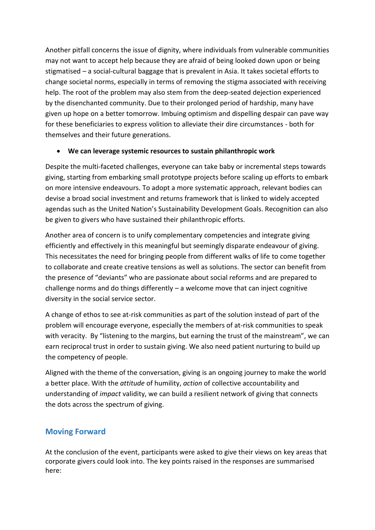Another pitfall concerns the issue of dignity, where individuals from vulnerable communities may not want to accept help because they are afraid of being looked down upon or being stigmatised – a social-cultural baggage that is prevalent in Asia. It takes societal efforts to change societal norms, especially in terms of removing the stigma associated with receiving help. The root of the problem may also stem from the deep-seated dejection experienced by the disenchanted community. Due to their prolonged period of hardship, many have given up hope on a better tomorrow. Imbuing optimism and dispelling despair can pave way for these beneficiaries to express volition to alleviate their dire circumstances - both for themselves and their future generations.

### **We can leverage systemic resources to sustain philanthropic work**

Despite the multi-faceted challenges, everyone can take baby or incremental steps towards giving, starting from embarking small prototype projects before scaling up efforts to embark on more intensive endeavours. To adopt a more systematic approach, relevant bodies can devise a broad social investment and returns framework that is linked to widely accepted agendas such as the United Nation's Sustainability Development Goals. Recognition can also be given to givers who have sustained their philanthropic efforts.

Another area of concern is to unify complementary competencies and integrate giving efficiently and effectively in this meaningful but seemingly disparate endeavour of giving. This necessitates the need for bringing people from different walks of life to come together to collaborate and create creative tensions as well as solutions. The sector can benefit from the presence of "deviants" who are passionate about social reforms and are prepared to challenge norms and do things differently – a welcome move that can inject cognitive diversity in the social service sector.

A change of ethos to see at-risk communities as part of the solution instead of part of the problem will encourage everyone, especially the members of at-risk communities to speak with veracity. By "listening to the margins, but earning the trust of the mainstream", we can earn reciprocal trust in order to sustain giving. We also need patient nurturing to build up the competency of people.

Aligned with the theme of the conversation, giving is an ongoing journey to make the world a better place. With the *attitude* of humility, *action* of collective accountability and understanding of *impact* validity, we can build a resilient network of giving that connects the dots across the spectrum of giving.

## **Moving Forward**

At the conclusion of the event, participants were asked to give their views on key areas that corporate givers could look into. The key points raised in the responses are summarised here: